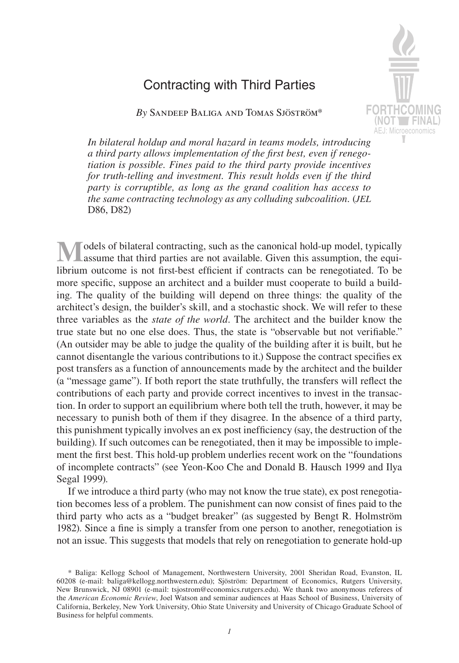# **FORTHCOMING**<br>(NOT) FINAL) AEJ: Microeconomics

# Contracting with Third Parties

*By* Sandeep Baliga and Tomas Sjöström\*

*In bilateral holdup and moral hazard in teams models, introducing a third party allows implementation of the first best, even if renegotiation is possible. Fines paid to the third party provide incentives for truth-telling and investment. This result holds even if the third party is corruptible, as long as the grand coalition has access to the same contracting technology as any colluding subcoalition.* (*JEL* D86, D82)

odels of bilateral contracting, such as the canonical hold-up model, typically **L** assume that third parties are not available. Given this assumption, the equilibrium outcome is not first-best efficient if contracts can be renegotiated. To be more specific, suppose an architect and a builder must cooperate to build a building. The quality of the building will depend on three things: the quality of the architect's design, the builder's skill, and a stochastic shock. We will refer to these three variables as the *state of the world*. The architect and the builder know the true state but no one else does. Thus, the state is "observable but not verifiable." (An outsider may be able to judge the quality of the building after it is built, but he cannot disentangle the various contributions to it.) Suppose the contract specifies ex post transfers as a function of announcements made by the architect and the builder (a "message game"). If both report the state truthfully, the transfers will reflect the contributions of each party and provide correct incentives to invest in the transaction. In order to support an equilibrium where both tell the truth, however, it may be necessary to punish both of them if they disagree. In the absence of a third party, this punishment typically involves an ex post inefficiency (say, the destruction of the building). If such outcomes can be renegotiated, then it may be impossible to implement the first best. This hold-up problem underlies recent work on the "foundations of incomplete contracts" (see Yeon-Koo Che and Donald B. Hausch 1999 and Ilya Segal 1999).

If we introduce a third party (who may not know the true state), ex post renegotiation becomes less of a problem. The punishment can now consist of fines paid to the third party who acts as a "budget breaker" (as suggested by Bengt R. Holmström 1982). Since a fine is simply a transfer from one person to another, renegotiation is not an issue. This suggests that models that rely on renegotiation to generate hold-up

<sup>\*</sup> Baliga: Kellogg School of Management, Northwestern University, 2001 Sheridan Road, Evanston, IL 60208 (e-mail: baliga@kellogg.northwestern.edu); Sjöström: Department of Economics, Rutgers University, New Brunswick, NJ 08901 (e-mail: tsjostrom@economics.rutgers.edu). We thank two anonymous referees of the *American Economic Review*, Joel Watson and seminar audiences at Haas School of Business, University of California, Berkeley, New York University, Ohio State University and University of Chicago Graduate School of Business for helpful comments.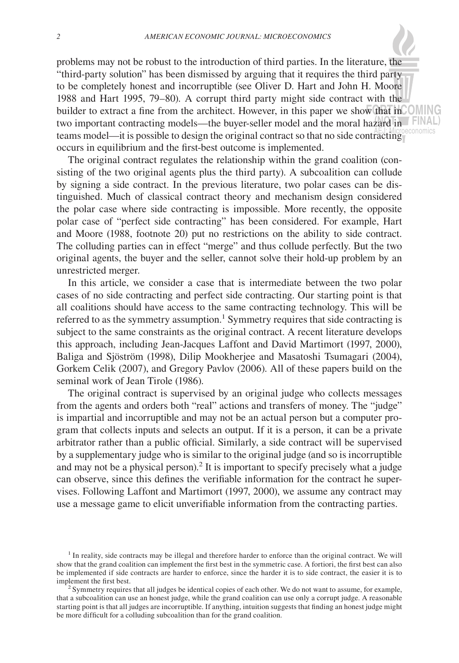problems may not be robust to the introduction of third parties. In the literature, the "third-party solution" has been dismissed by arguing that it requires the third party to be completely honest and incorruptible (see Oliver D. Hart and John H. Moore 1988 and Hart 1995, 79–80). A corrupt third party might side contract with the builder to extract a fine from the architect. However, in this paper we show that in COMING builder to extract a fine from the architect. However, in this paper we show that in COMING two important contracting models—the buyer-seller model and the moral hazard in FINAL) teams model—it is possible to design the original contract so that no side contracting occurs in equilibrium and the first-best outcome is implemented.

The original contract regulates the relationship within the grand coalition (consisting of the two original agents plus the third party). A subcoalition can collude by signing a side contract. In the previous literature, two polar cases can be distinguished. Much of classical contract theory and mechanism design considered the polar case where side contracting is impossible. More recently, the opposite polar case of "perfect side contracting" has been considered. For example, Hart and Moore (1988, footnote 20) put no restrictions on the ability to side contract. The colluding parties can in effect "merge" and thus collude perfectly. But the two original agents, the buyer and the seller, cannot solve their hold-up problem by an unrestricted merger.

In this article, we consider a case that is intermediate between the two polar cases of no side contracting and perfect side contracting. Our starting point is that all coalitions should have access to the same contracting technology. This will be referred to as the symmetry assumption.<sup>1</sup> Symmetry requires that side contracting is subject to the same constraints as the original contract. A recent literature develops this approach, including Jean-Jacques Laffont and David Martimort (1997, 2000), Baliga and Sjöström (1998), Dilip Mookherjee and Masatoshi Tsumagari (2004), Gorkem Celik (2007), and Gregory Pavlov (2006). All of these papers build on the seminal work of Jean Tirole (1986).

The original contract is supervised by an original judge who collects messages from the agents and orders both "real" actions and transfers of money. The "judge" is impartial and incorruptible and may not be an actual person but a computer program that collects inputs and selects an output. If it is a person, it can be a private arbitrator rather than a public official. Similarly, a side contract will be supervised by a supplementary judge who is similar to the original judge (and so is incorruptible and may not be a physical person).<sup>2</sup> It is important to specify precisely what a judge can observe, since this defines the verifiable information for the contract he supervises. Following Laffont and Martimort (1997, 2000), we assume any contract may use a message game to elicit unverifiable information from the contracting parties.

<sup>&</sup>lt;sup>1</sup> In reality, side contracts may be illegal and therefore harder to enforce than the original contract. We will show that the grand coalition can implement the first best in the symmetric case. A fortiori, the first best can also be implemented if side contracts are harder to enforce, since the harder it is to side contract, the easier it is to implement the first best.

<sup>&</sup>lt;sup>2</sup> Symmetry requires that all judges be identical copies of each other. We do not want to assume, for example, that a subcoalition can use an honest judge, while the grand coalition can use only a corrupt judge. A reasonable starting point is that all judges are incorruptible. If anything, intuition suggests that finding an honest judge might be more difficult for a colluding subcoalition than for the grand coalition.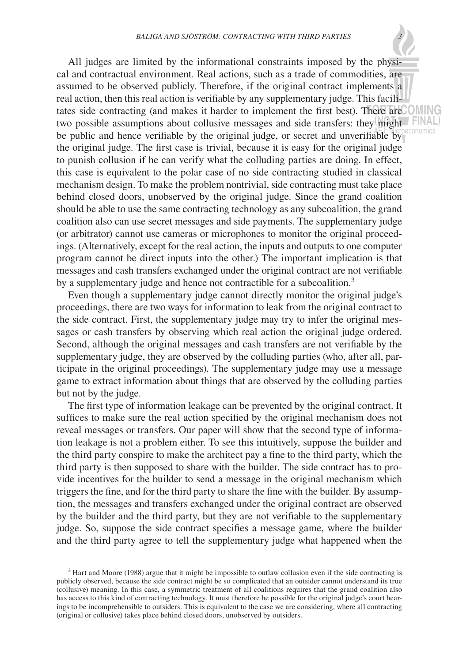All judges are limited by the informational constraints imposed by the physical and contractual environment. Real actions, such as a trade of commodities, are assumed to be observed publicly. Therefore, if the original contract implements a real action, then this real action is verifiable by any supplementary judge. This facilitates side contracting (and makes it harder to implement the first best). There are tates side contracting (and makes it harder to implement the first best). There are OMING two possible assumptions about collusive messages and side transfers: they might **FINAL**) be public and hence verifiable by the original judge, or secret and unverifiable by the original judge. The first case is trivial, because it is easy for the original judge to punish collusion if he can verify what the colluding parties are doing. In effect, this case is equivalent to the polar case of no side contracting studied in classical mechanism design. To make the problem nontrivial, side contracting must take place behind closed doors, unobserved by the original judge. Since the grand coalition should be able to use the same contracting technology as any subcoalition, the grand coalition also can use secret messages and side payments. The supplementary judge (or arbitrator) cannot use cameras or microphones to monitor the original proceedings. (Alternatively, except for the real action, the inputs and outputs to one computer program cannot be direct inputs into the other.) The important implication is that messages and cash transfers exchanged under the original contract are not verifiable by a supplementary judge and hence not contractible for a subcoalition.

Even though a supplementary judge cannot directly monitor the original judge's proceedings, there are two ways for information to leak from the original contract to the side contract. First, the supplementary judge may try to infer the original messages or cash transfers by observing which real action the original judge ordered. Second, although the original messages and cash transfers are not verifiable by the supplementary judge, they are observed by the colluding parties (who, after all, participate in the original proceedings). The supplementary judge may use a message game to extract information about things that are observed by the colluding parties but not by the judge.

The first type of information leakage can be prevented by the original contract. It suffices to make sure the real action specified by the original mechanism does not reveal messages or transfers. Our paper will show that the second type of information leakage is not a problem either. To see this intuitively, suppose the builder and the third party conspire to make the architect pay a fine to the third party, which the third party is then supposed to share with the builder. The side contract has to provide incentives for the builder to send a message in the original mechanism which triggers the fine, and for the third party to share the fine with the builder. By assumption, the messages and transfers exchanged under the original contract are observed by the builder and the third party, but they are not verifiable to the supplementary judge. So, suppose the side contract specifies a message game, where the builder and the third party agree to tell the supplementary judge what happened when the

 $3$  Hart and Moore (1988) argue that it might be impossible to outlaw collusion even if the side contracting is publicly observed, because the side contract might be so complicated that an outsider cannot understand its true (collusive) meaning. In this case, a symmetric treatment of all coalitions requires that the grand coalition also has access to this kind of contracting technology. It must therefore be possible for the original judge's court hearings to be incomprehensible to outsiders. This is equivalent to the case we are considering, where all contracting (original or collusive) takes place behind closed doors, unobserved by outsiders.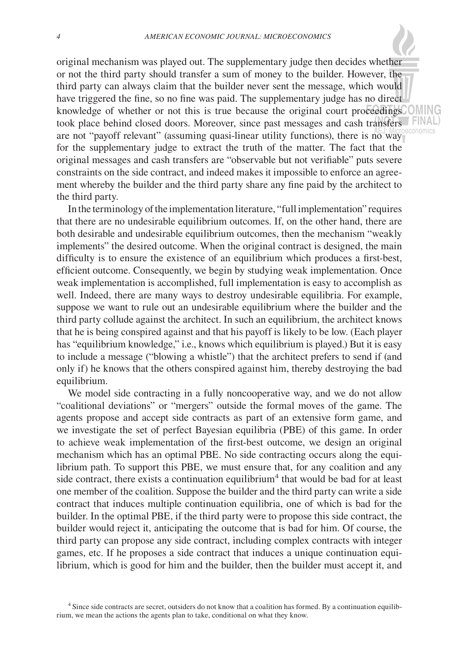original mechanism was played out. The supplementary judge then decides whether or not the third party should transfer a sum of money to the builder. However, the third party can always claim that the builder never sent the message, which would have triggered the fine, so no fine was paid. The supplementary judge has no direct knowledge of whether or not this is true because the original court proceedings. OMING knowledge of whether or not this is true because the original court proceedings OMING took place behind closed doors. Moreover, since past messages and cash transfers **FINAL** are not "payoff relevant" (assuming quasi-linear utility functions), there is no way for the supplementary judge to extract the truth of the matter. The fact that the original messages and cash transfers are "observable but not verifiable" puts severe constraints on the side contract, and indeed makes it impossible to enforce an agreement whereby the builder and the third party share any fine paid by the architect to the third party.

In the terminology of the implementation literature, "full implementation" requires that there are no undesirable equilibrium outcomes. If, on the other hand, there are both desirable and undesirable equilibrium outcomes, then the mechanism "weakly implements" the desired outcome. When the original contract is designed, the main difficulty is to ensure the existence of an equilibrium which produces a first-best, efficient outcome. Consequently, we begin by studying weak implementation. Once weak implementation is accomplished, full implementation is easy to accomplish as well. Indeed, there are many ways to destroy undesirable equilibria. For example, suppose we want to rule out an undesirable equilibrium where the builder and the third party collude against the architect. In such an equilibrium, the architect knows that he is being conspired against and that his payoff is likely to be low. (Each player has "equilibrium knowledge," i.e., knows which equilibrium is played.) But it is easy to include a message ("blowing a whistle") that the architect prefers to send if (and only if) he knows that the others conspired against him, thereby destroying the bad equilibrium.

We model side contracting in a fully noncooperative way, and we do not allow "coalitional deviations" or "mergers" outside the formal moves of the game. The agents propose and accept side contracts as part of an extensive form game, and we investigate the set of perfect Bayesian equilibria (PBE) of this game. In order to achieve weak implementation of the first-best outcome, we design an original mechanism which has an optimal PBE. No side contracting occurs along the equilibrium path. To support this PBE, we must ensure that, for any coalition and any side contract, there exists a continuation equilibrium<sup>4</sup> that would be bad for at least one member of the coalition. Suppose the builder and the third party can write a side contract that induces multiple continuation equilibria, one of which is bad for the builder. In the optimal PBE, if the third party were to propose this side contract, the builder would reject it, anticipating the outcome that is bad for him. Of course, the third party can propose any side contract, including complex contracts with integer games, etc. If he proposes a side contract that induces a unique continuation equilibrium, which is good for him and the builder, then the builder must accept it, and

<sup>&</sup>lt;sup>4</sup> Since side contracts are secret, outsiders do not know that a coalition has formed. By a continuation equilibrium, we mean the actions the agents plan to take, conditional on what they know.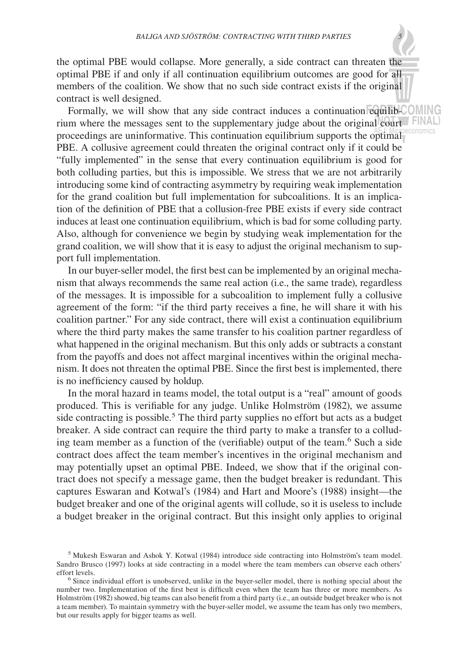the optimal PBE would collapse. More generally, a side contract can threaten the optimal PBE if and only if all continuation equilibrium outcomes are good for all members of the coalition. We show that no such side contract exists if the original contract is well designed.

Formally, we will show that any side contract induces a continuation equilib-COMING Formally, we will show that any side contract induces a continuation equilib-COMING rium where the messages sent to the supplementary judge about the original court **FINAL** proceedings are uninformative. This continuation equilibrium supports the optimal PBE. A collusive agreement could threaten the original contract only if it could be "fully implemented" in the sense that every continuation equilibrium is good for both colluding parties, but this is impossible. We stress that we are not arbitrarily introducing some kind of contracting asymmetry by requiring weak implementation for the grand coalition but full implementation for subcoalitions. It is an implication of the definition of PBE that a collusion-free PBE exists if every side contract induces at least one continuation equilibrium, which is bad for some colluding party. Also, although for convenience we begin by studying weak implementation for the grand coalition, we will show that it is easy to adjust the original mechanism to support full implementation.

In our buyer-seller model, the first best can be implemented by an original mechanism that always recommends the same real action (i.e., the same trade), regardless of the messages. It is impossible for a subcoalition to implement fully a collusive agreement of the form: "if the third party receives a fine, he will share it with his coalition partner." For any side contract, there will exist a continuation equilibrium where the third party makes the same transfer to his coalition partner regardless of what happened in the original mechanism. But this only adds or subtracts a constant from the payoffs and does not affect marginal incentives within the original mechanism. It does not threaten the optimal PBE. Since the first best is implemented, there is no inefficiency caused by holdup.

In the moral hazard in teams model, the total output is a "real" amount of goods produced. This is verifiable for any judge. Unlike Holmström (1982), we assume side contracting is possible.<sup>5</sup> The third party supplies no effort but acts as a budget breaker. A side contract can require the third party to make a transfer to a colluding team member as a function of the (verifiable) output of the team.<sup>6</sup> Such a side contract does affect the team member's incentives in the original mechanism and may potentially upset an optimal PBE. Indeed, we show that if the original contract does not specify a message game, then the budget breaker is redundant. This captures Eswaran and Kotwal's (1984) and Hart and Moore's (1988) insight—the budget breaker and one of the original agents will collude, so it is useless to include a budget breaker in the original contract. But this insight only applies to original

 $<sup>5</sup>$  Mukesh Eswaran and Ashok Y. Kotwal (1984) introduce side contracting into Holmström's team model.</sup> Sandro Brusco (1997) looks at side contracting in a model where the team members can observe each others' effort levels.

<sup>&</sup>lt;sup>6</sup> Since individual effort is unobserved, unlike in the buyer-seller model, there is nothing special about the number two. Implementation of the first best is difficult even when the team has three or more members. As Holmström (1982) showed, big teams can also benefit from a third party (i.e., an outside budget breaker who is not a team member). To maintain symmetry with the buyer-seller model, we assume the team has only two members, but our results apply for bigger teams as well.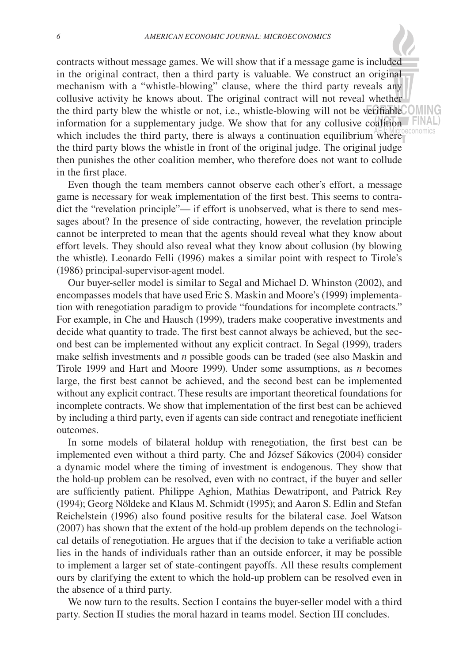contracts without message games. We will show that if a message game is included in the original contract, then a third party is valuable. We construct an original mechanism with a "whistle-blowing" clause, where the third party reveals any collusive activity he knows about. The original contract will not reveal whether the third party blew the whistle or not, i.e., whistle-blowing will not be verifiable the third party blew the whistle or not, i.e., whistle-blowing will not be verifiable. OMING information for a supplementary judge. We show that for any collusive coalition **FINAL** which includes the third party, there is always a continuation equilibrium where the third party blows the whistle in front of the original judge. The original judge then punishes the other coalition member, who therefore does not want to collude in the first place.

Even though the team members cannot observe each other's effort, a message game is necessary for weak implementation of the first best. This seems to contradict the "revelation principle"— if effort is unobserved, what is there to send messages about? In the presence of side contracting, however, the revelation principle cannot be interpreted to mean that the agents should reveal what they know about effort levels. They should also reveal what they know about collusion (by blowing the whistle). Leonardo Felli (1996) makes a similar point with respect to Tirole's (1986) principal-supervisor-agent model.

Our buyer-seller model is similar to Segal and Michael D. Whinston (2002), and encompasses models that have used Eric S. Maskin and Moore's (1999) implementation with renegotiation paradigm to provide "foundations for incomplete contracts." For example, in Che and Hausch (1999), traders make cooperative investments and decide what quantity to trade. The first best cannot always be achieved, but the second best can be implemented without any explicit contract. In Segal (1999), traders make selfish investments and *n* possible goods can be traded (see also Maskin and Tirole 1999 and Hart and Moore 1999). Under some assumptions, as *n* becomes large, the first best cannot be achieved, and the second best can be implemented without any explicit contract. These results are important theoretical foundations for incomplete contracts. We show that implementation of the first best can be achieved by including a third party, even if agents can side contract and renegotiate inefficient outcomes.

In some models of bilateral holdup with renegotiation, the first best can be implemented even without a third party. Che and József Sákovics (2004) consider a dynamic model where the timing of investment is endogenous. They show that the hold-up problem can be resolved, even with no contract, if the buyer and seller are sufficiently patient. Philippe Aghion, Mathias Dewatripont, and Patrick Rey (1994); Georg Nöldeke and Klaus M. Schmidt (1995); and Aaron S. Edlin and Stefan Reichelstein (1996) also found positive results for the bilateral case. Joel Watson (2007) has shown that the extent of the hold-up problem depends on the technological details of renegotiation. He argues that if the decision to take a verifiable action lies in the hands of individuals rather than an outside enforcer, it may be possible to implement a larger set of state-contingent payoffs. All these results complement ours by clarifying the extent to which the hold-up problem can be resolved even in the absence of a third party.

We now turn to the results. Section I contains the buyer-seller model with a third party. Section II studies the moral hazard in teams model. Section III concludes.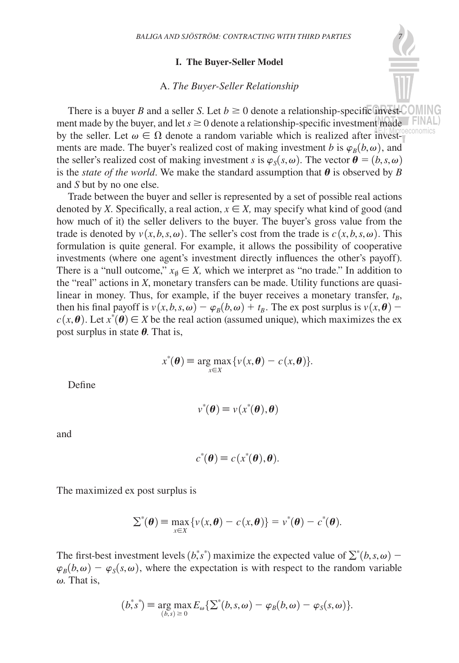#### **I. The Buyer-Seller Model**

# A. *The Buyer-Seller Relationship*

There is a buyer *B* and a seller *S*. Let  $b \ge 0$  denote a relationship-specific invest-COMING ent made by the buyer, and let  $s \ge 0$  denote a relationship-specific investment made ment made by the buyer, and let  $s \ge 0$  denote a relationship-specific investment made  $\blacksquare$ by the seller. Let  $\omega \in \Omega$  denote a random variable which is realized after investments are made. The buyer's realized cost of making investment *b* is  $\varphi_B(b,\omega)$ , and the seller's realized cost of making investment *s* is  $\varphi_s(s, \omega)$ . The vector  $\theta = (b, s, \omega)$ is the *state of the world*. We make the standard assumption that  $\theta$  is observed by *B* and *S* but by no one else.

Trade between the buyer and seller is represented by a set of possible real actions denoted by *X*. Specifically, a real action,  $x \in X$ , may specify what kind of good (and how much of it) the seller delivers to the buyer. The buyer's gross value from the trade is denoted by  $v(x, b, s, \omega)$ . The seller's cost from the trade is  $c(x, b, s, \omega)$ . This formulation is quite general. For example, it allows the possibility of cooperative investments (where one agent's investment directly influences the other's payoff). There is a "null outcome,"  $x_{\emptyset} \in X$ , which we interpret as "no trade." In addition to the "real" actions in *X*, monetary transfers can be made. Utility functions are quasilinear in money. Thus, for example, if the buyer receives a monetary transfer,  $t_B$ , then his final payoff is  $v(x, b, s, \omega) - \varphi_B(b, \omega) + t_B$ . The ex post surplus is  $v(x, \theta)$  –  $c(x, \theta)$ . Let  $x^*(\theta) \in X$  be the real action (assumed unique), which maximizes the expost surplus in state  $\theta$ . That is,

$$
x^*(\boldsymbol{\theta}) \equiv \arg \max_{x \in X} \{ v(x, \boldsymbol{\theta}) - c(x, \boldsymbol{\theta}) \}.
$$

Define

$$
v^*(\boldsymbol{\theta}) \equiv v(x^*(\boldsymbol{\theta}), \boldsymbol{\theta})
$$

and

$$
c^*(\boldsymbol{\theta}) \equiv c(x^*(\boldsymbol{\theta}), \boldsymbol{\theta}).
$$

The maximized ex post surplus is

$$
\Sigma^*(\boldsymbol{\theta}) = \max_{x \in X} \{ v(x, \boldsymbol{\theta}) - c(x, \boldsymbol{\theta}) \} = v^*(\boldsymbol{\theta}) - c^*(\boldsymbol{\theta}).
$$

The first-best investment levels  $(b^*, s^*)$  maximize the expected value of  $\sum^* (b, s, \omega)$  –  $\varphi_B(b,\omega) - \varphi_S(s,\omega)$ , where the expectation is with respect to the random variable  $\omega$ . That is,

$$
(b^*_{s,s}) \equiv \underset{(b,s) \geq 0}{\arg \max} E_{\omega} \{ \Sigma^*(b,s,\omega) - \varphi_B(b,\omega) - \varphi_S(s,\omega) \}.
$$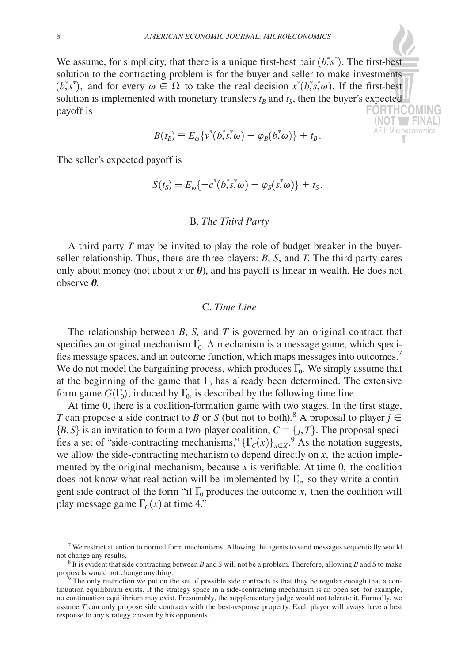We assume, for simplicity, that there is a unique first-best pair  $(b^*, s^*)$ . The first-best solution to the contracting problem is for the buyer and seller to make investments  $(b^*, s^*)$ , and for every  $\omega \in \Omega$  to take the real decision  $x^*(b^*, s^* \omega)$ . If the first-best solution is implemented with monetary transfers  $t_B$  and  $t_S$ , then the buyer's expected payoff is **FORTHCOMING**<br>(NOT) FINAL)

$$
B(t_B) \equiv E_{\omega} \{ v^*(b, s, \omega) - \varphi_B(b, \omega) \} + t_B
$$

*.*

AEJ: Microeconomics

The seller's expected payoff is

$$
S(tS) \equiv E_{\omega} \{ -c^*(b^*, s^* \omega) - \varphi_S(s^* \omega) \} + t_S.
$$

#### B. *The Third Party*

A third party *T* may be invited to play the role of budget breaker in the buyerseller relationship. Thus, there are three players: *B*, *S*, and *T*. The third party cares only about money (not about *x* or  $\theta$ ), and his payoff is linear in wealth. He does not observe  $\theta$ .

### C. *Time Line*

The relationship between *B*, *S,* and *T* is governed by an original contract that specifies an original mechanism  $\Gamma_0$ . A mechanism is a message game, which specifies message spaces, and an outcome function, which maps messages into outcomes.<sup>7</sup> We do not model the bargaining process, which produces  $\Gamma_0$ . We simply assume that at the beginning of the game that  $\Gamma_0$  has already been determined. The extensive form game  $G(\Gamma_0)$ , induced by  $\Gamma_0$ , is described by the following time line.

At time 0, there is a coalition-formation game with two stages. In the first stage, *T* can propose a side contract to *B* or *S* (but not to both).<sup>8</sup> A proposal to player  $j \in$  $\{B, S\}$  is an invitation to form a two-player coalition,  $C = \{j, T\}$ . The proposal specifies a set of "side-contracting mechanisms,"  $\{\Gamma_{C}(x)\}_{x\in X}$ . As the notation suggests, we allow the side-contracting mechanism to depend directly on *x*, the action implemented by the original mechanism, because  $x$  is verifiable. At time 0, the coalition does not know what real action will be implemented by  $\Gamma_0$ , so they write a contingent side contract of the form "if  $\Gamma_0$  produces the outcome *x*, then the coalition will play message game  $\Gamma_c(x)$  at time 4."

<sup>&</sup>lt;sup>7</sup> We restrict attention to normal form mechanisms. Allowing the agents to send messages sequentially would not change any results.

 ${}^8$  It is evident that side contracting between *B* and *S* will not be a problem. Therefore, allowing *B* and *S* to make proposals would not change anything.

 $9$  The only restriction we put on the set of possible side contracts is that they be regular enough that a continuation equilibrium exists. If the strategy space in a side-contracting mechanism is an open set, for example, no continuation equilibrium may exist. Presumably, the supplementary judge would not tolerate it. Formally, we assume *T* can only propose side contracts with the best-response property. Each player will aways have a best response to any strategy chosen by his opponents.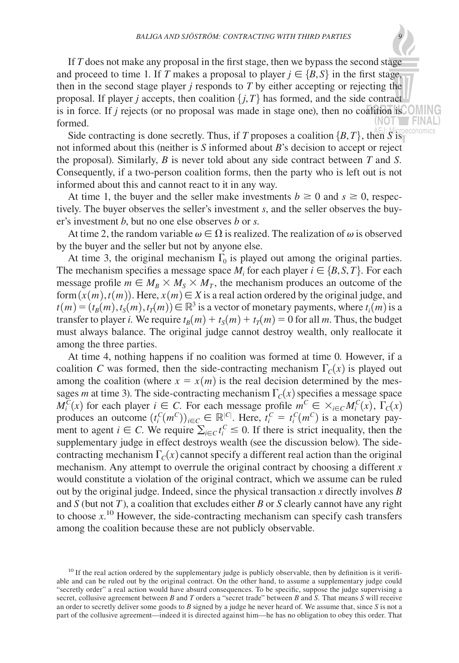If *T* does not make any proposal in the first stage, then we bypass the second stage and proceed to time 1. If *T* makes a proposal to player  $j \in \{B, S\}$  in the first stage, then in the second stage player *j* responds to *T* by either accepting or rejecting the proposal. If player *j* accepts, then coalition  $\{j, T\}$  has formed, and the side contract is in force. If *j* rejects (or no proposal was made in stage one), then no coalition is COMING formed. formed.

Side contracting is done secretly. Thus, if *T* proposes a coalition  $\{B,T\}$ , then *S* is not informed about this (neither is *S* informed about *B*'s decision to accept or reject the proposal). Similarly, *B* is never told about any side contract between *T* and *S.* Consequently, if a two-person coalition forms, then the party who is left out is not informed about this and cannot react to it in any way.

At time 1, the buyer and the seller make investments  $b \ge 0$  and  $s \ge 0$ , respectively. The buyer observes the seller's investment *s*, and the seller observes the buyer's investment *b*, but no one else observes *b* or *s.*

At time 2, the random variable  $\omega \in \Omega$  is realized. The realization of  $\omega$  is observed by the buyer and the seller but not by anyone else.

At time 3, the original mechanism  $\Gamma_0$  is played out among the original parties. The mechanism specifies a message space  $M_i$  for each player  $i \in \{B, S, T\}$ . For each message profile  $m \in M_B \times M_S \times M_T$ , the mechanism produces an outcome of the form  $(x(m), t(m))$ . Here,  $x(m) \in X$  is a real action ordered by the original judge, and  $t(m) = (t_B(m), t_S(m), t_T(m)) \in \mathbb{R}^3$  is a vector of monetary payments, where  $t_i(m)$  is a transfer to player *i*. We require  $t_B(m) + t_S(m) + t_T(m) = 0$  for all *m*. Thus, the budget must always balance. The original judge cannot destroy wealth, only reallocate it among the three parties.

At time 4, nothing happens if no coalition was formed at time 0*.* However, if a coalition *C* was formed, then the side-contracting mechanism  $\Gamma_c(x)$  is played out among the coalition (where  $x = x(m)$  is the real decision determined by the messages *m* at time 3). The side-contracting mechanism  $\Gamma_c(x)$  specifies a message space  $M_i^C(x)$  for each player  $i \in C$ . For each message profile  $m^C \in \times_{i \in C} M_i^C(x)$ ,  $\Gamma_C(x)$ produces an outcome  $(t_i^C(m^C))_{i \in C} \in \mathbb{R}^{|C|}$ . Here,  $t_i^C = t_i^C(m^C)$  is a monetary payment to agent  $i \in C$ . We require  $\sum_{i \in C} t_i^C \leq 0$ . If there is strict inequality, then the supplementary judge in effect destroys wealth (see the discussion below). The sidecontracting mechanism  $\Gamma_c(x)$  cannot specify a different real action than the original mechanism. Any attempt to overrule the original contract by choosing a different *x* would constitute a violation of the original contract, which we assume can be ruled out by the original judge. Indeed, since the physical transaction *x* directly involves *B* and *S* (but not *T*), a coalition that excludes either *B* or *S* clearly cannot have any right to choose  $x$ <sup>10</sup> However, the side-contracting mechanism can specify cash transfers among the coalition because these are not publicly observable.

 $10$  If the real action ordered by the supplementary judge is publicly observable, then by definition is it verifiable and can be ruled out by the original contract. On the other hand, to assume a supplementary judge could "secretly order" a real action would have absurd consequences. To be specific, suppose the judge supervising a secret, collusive agreement between *B* and *T* orders a "secret trade" between *B* and *S.* That means *S* will receive an order to secretly deliver some goods to *B* signed by a judge he never heard of. We assume that, since *S* is not a part of the collusive agreement—indeed it is directed against him—he has no obligation to obey this order. That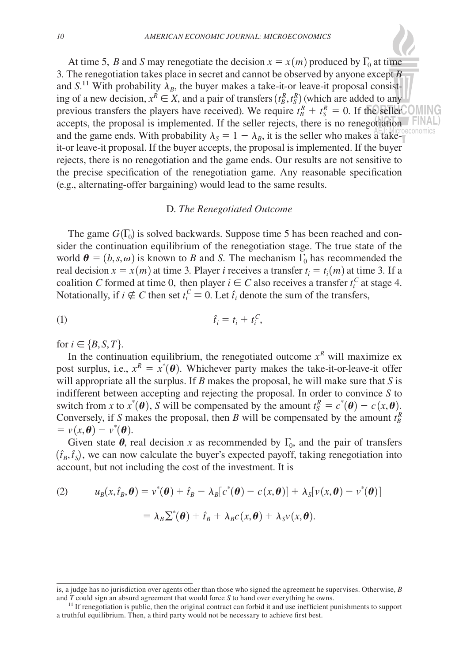At time 5, *B* and *S* may renegotiate the decision  $x = x(m)$  produced by  $\Gamma_0$  at time 3*.* The renegotiation takes place in secret and cannot be observed by anyone except *B* and  $S^{11}$  With probability  $\lambda_B$ , the buyer makes a take-it-or leave-it proposal consisting of a new decision,  $x^R \in X$ , and a pair of transfers  $(t_B^R, t_S^R)$  (which are added to any previous transfers the players have received). We require  $t_B^R + t_S^R = 0$ . If the seller previous transfers the players have received). We require  $t_B^R + t_S^R = 0$ . If the seller OMING accepts, the proposal is implemented. If the seller rejects, there is no renegotiation **FINAL**) and the game ends. With probability  $\lambda_s = 1 - \lambda_B$ , it is the seller who makes a takeit-or leave-it proposal. If the buyer accepts, the proposal is implemented. If the buyer rejects, there is no renegotiation and the game ends. Our results are not sensitive to the precise specification of the renegotiation game. Any reasonable specification (e.g., alternating-offer bargaining) would lead to the same results.

#### D. *The Renegotiated Outcome*

The game  $G(\Gamma_0)$  is solved backwards. Suppose time 5 has been reached and consider the continuation equilibrium of the renegotiation stage. The true state of the world  $\boldsymbol{\theta} = (b, s, \omega)$  is known to *B* and *S*. The mechanism  $\Gamma_0$  has recommended the real decision  $x = x(m)$  at time 3. Player *i* receives a transfer  $t_i = t_i(m)$  at time 3. If a coalition *C* formed at time 0, then player  $i \in C$  also receives a transfer  $t_i^C$  at stage 4. Notationally, if  $i \notin C$  then set  $t_i^C \equiv 0$ . Let  $\hat{t}_i$  denote the sum of the transfers,

$$
\hat{t}_i = t_i + t_i^C,
$$

for  $i \in \{B, S, T\}$ .

In the continuation equilibrium, the renegotiated outcome  $x<sup>R</sup>$  will maximize ex post surplus, i.e.,  $x^R = x^*(\theta)$ . Whichever party makes the take-it-or-leave-it offer will appropriate all the surplus. If *B* makes the proposal, he will make sure that *S* is indifferent between accepting and rejecting the proposal. In order to convince *S* to switch from *x* to  $x^*(\theta)$ , *S* will be compensated by the amount  $t_S^R = c^*(\theta) - c(x, \theta)$ . Conversely, if *S* makes the proposal, then *B* will be compensated by the amount  $t_B^R$  $= v(x, \theta) - v^*(\theta).$ 

Given state  $\theta$ , real decision *x* as recommended by  $\Gamma_0$ , and the pair of transfers  $(\hat{t}_B, \hat{t}_S)$ , we can now calculate the buyer's expected payoff, taking renegotiation into account, but not including the cost of the investment. It is

(2) 
$$
u_B(x, \hat{t}_B, \boldsymbol{\theta}) = v^*(\boldsymbol{\theta}) + \hat{t}_B - \lambda_B[c^*(\boldsymbol{\theta}) - c(x, \boldsymbol{\theta})] + \lambda_S[v(x, \boldsymbol{\theta}) - v^*(\boldsymbol{\theta})]
$$

$$
= \lambda_B \sum^*(\boldsymbol{\theta}) + \hat{t}_B + \lambda_B c(x, \boldsymbol{\theta}) + \lambda_S v(x, \boldsymbol{\theta}).
$$

is, a judge has no jurisdiction over agents other than those who signed the agreement he supervises. Otherwise, *B* and *T* could sign an absurd agreement that would force *S* to hand over everything he owns.<br><sup>11</sup> If renegotiation is public, then the original contract can forbid it and use inefficient punishments to support

a truthful equilibrium. Then, a third party would not be necessary to achieve first best.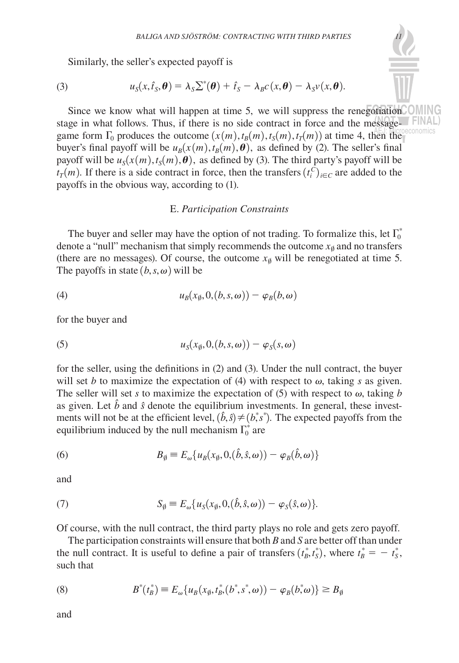Similarly, the seller's expected payoff is

(3) 
$$
u_{S}(x, \hat{t}_{S}, \boldsymbol{\theta}) = \lambda_{S} \sum^{*}(\boldsymbol{\theta}) + \hat{t}_{S} - \lambda_{B} c(x, \boldsymbol{\theta}) - \lambda_{S} v(x, \boldsymbol{\theta}).
$$

Since we know what will happen at time 5, we will suppress the renegotiation COMING Since we know what will happen at time 5, we will suppress the renegotiation UMING stage in what follows. Thus, if there is no side contract in force and the messagegame form  $\Gamma_0$  produces the outcome  $(x(m), t_B(m), t_S(m), t_T(m))$  at time 4, then the buyer's final payoff will be  $u_B(x(m), t_B(m), \theta)$ , as defined by (2). The seller's final payoff will be  $u_s(x(m), t_s(m), \theta)$ , as defined by (3). The third party's payoff will be  $t_T(m)$ . If there is a side contract in force, then the transfers  $(t_i^C)_{i \in C}$  are added to the payoffs in the obvious way, according to (1).

## E. *Participation Constraints*

The buyer and seller may have the option of not trading. To formalize this, let  $\Gamma_0^*$ denote a "null" mechanism that simply recommends the outcome  $x_{\emptyset}$  and no transfers (there are no messages). Of course, the outcome  $x_{\emptyset}$  will be renegotiated at time 5. The payoffs in state  $(b, s, \omega)$  will be

(4) 
$$
u_B(x_\emptyset, 0, (b, s, \omega)) - \varphi_B(b, \omega)
$$

for the buyer and

(5) 
$$
u_S(x_\emptyset, 0, (b, s, \omega)) - \varphi_S(s, \omega)
$$

for the seller, using the definitions in (2) and (3). Under the null contract, the buyer will set *b* to maximize the expectation of (4) with respect to  $\omega$ , taking *s* as given. The seller will set *s* to maximize the expectation of (5) with respect to  $\omega$ , taking *b* as given. Let  $\hat{b}$  and  $\hat{s}$  denote the equilibrium investments. In general, these investments will not be at the efficient level,  $(\hat{b}, \hat{s}) \neq (b, s^*)$ . The expected payoffs from the equilibrium induced by the null mechanism  $\Gamma_0^*$  are

(6) 
$$
B_{\emptyset} \equiv E_{\omega} \{ u_B(x_{\emptyset}, 0, (\hat{b}, \hat{s}, \omega)) - \varphi_B(\hat{b}, \omega) \}
$$

and

(7) 
$$
S_{\emptyset} \equiv E_{\omega} \{ u_S(x_{\emptyset}, 0, (\hat{b}, \hat{s}, \omega)) - \varphi_S(\hat{s}, \omega) \}.
$$

Of course, with the null contract, the third party plays no role and gets zero payoff.

The participation constraints will ensure that both *B* and *S* are better off than under the null contract. It is useful to define a pair of transfers  $(t_B^*, t_S^*)$ , where  $t_B^* = -t_S^*$ , such that

(8) 
$$
B^*(t_B^*) \equiv E_{\omega} \{ u_B(x_{\emptyset}, t_B^*, (b^*, s^*, \omega)) - \varphi_B(b, \omega) \} \ge B_{\emptyset}
$$

and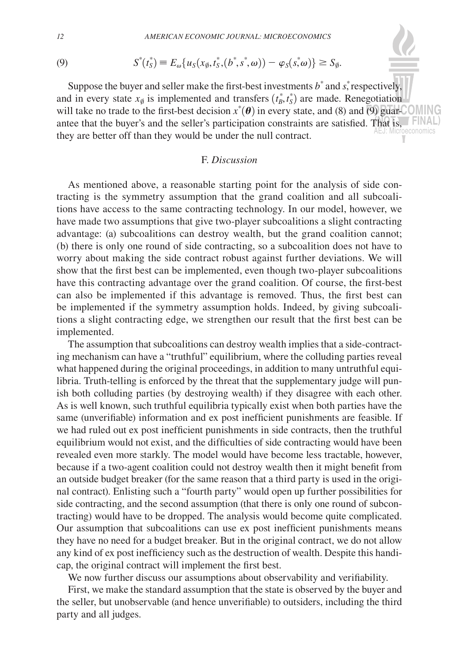*AMERICAN ECONOMIC JOURNAL: MICROECONOMICS* 

(9) 
$$
S^*(t^*_S) \equiv E_{\omega} \{ u_S(x_{\emptyset}, t^*_S, (b^*, s^*, \omega)) - \varphi_S(s^*, \omega) \} \ge S_{\emptyset}.
$$

Suppose the buyer and seller make the first-best investments  $b^*$  and  $s^*$ , respectively, and in every state  $x_{\emptyset}$  is implemented and transfers  $(t_b^*, t_s^*)$  are made. Renegotiation will take no trade to the first-best decision  $x^*(\theta)$  in every state, and (8) and (9) guar-COMING will take no trade to the first-best decision  $x^*(\theta)$  in every state, and (8) and (9) guar-COMING antee that the buyer's and the seller's participation constraints are satisfied. That is,  $\text{FINAL}$ ) they are better off than they would be under the null contract. AEJ: Microeconomics

# F. *Discussion*

As mentioned above, a reasonable starting point for the analysis of side contracting is the symmetry assumption that the grand coalition and all subcoalitions have access to the same contracting technology. In our model, however, we have made two assumptions that give two-player subcoalitions a slight contracting advantage: (a) subcoalitions can destroy wealth, but the grand coalition cannot; (b) there is only one round of side contracting, so a subcoalition does not have to worry about making the side contract robust against further deviations. We will show that the first best can be implemented, even though two-player subcoalitions have this contracting advantage over the grand coalition. Of course, the first-best can also be implemented if this advantage is removed. Thus, the first best can be implemented if the symmetry assumption holds. Indeed, by giving subcoalitions a slight contracting edge, we strengthen our result that the first best can be implemented.

The assumption that subcoalitions can destroy wealth implies that a side-contracting mechanism can have a "truthful" equilibrium, where the colluding parties reveal what happened during the original proceedings, in addition to many untruthful equilibria. Truth-telling is enforced by the threat that the supplementary judge will punish both colluding parties (by destroying wealth) if they disagree with each other. As is well known, such truthful equilibria typically exist when both parties have the same (unverifiable) information and ex post inefficient punishments are feasible. If we had ruled out ex post inefficient punishments in side contracts, then the truthful equilibrium would not exist, and the difficulties of side contracting would have been revealed even more starkly. The model would have become less tractable, however, because if a two-agent coalition could not destroy wealth then it might benefit from an outside budget breaker (for the same reason that a third party is used in the original contract). Enlisting such a "fourth party" would open up further possibilities for side contracting, and the second assumption (that there is only one round of subcontracting) would have to be dropped. The analysis would become quite complicated. Our assumption that subcoalitions can use ex post inefficient punishments means they have no need for a budget breaker. But in the original contract, we do not allow any kind of ex post inefficiency such as the destruction of wealth. Despite this handicap, the original contract will implement the first best.

We now further discuss our assumptions about observability and verifiability.

First, we make the standard assumption that the state is observed by the buyer and the seller, but unobservable (and hence unverifiable) to outsiders, including the third party and all judges.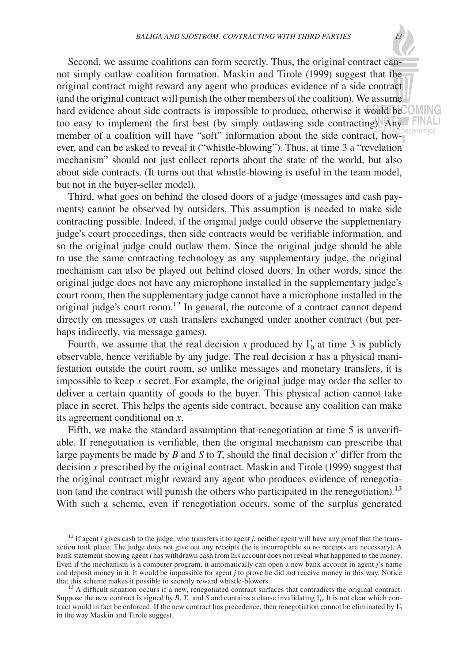Second, we assume coalitions can form secretly. Thus, the original contract cannot simply outlaw coalition formation. Maskin and Tirole (1999) suggest that the original contract might reward any agent who produces evidence of a side contract (and the original contract will punish the other members of the coalition). We assume hard evidence about side contracts is impossible to produce, otherwise it would be OMING hard evidence about side contracts is impossible to produce, otherwise it would be OMING too easy to implement the first best (by simply outlawing side contracting). Any **FINAL** member of a coalition will have "soft" information about the side contract, however, and can be asked to reveal it ("whistle-blowing"). Thus, at time 3 a "revelation mechanism" should not just collect reports about the state of the world, but also about side contracts. (It turns out that whistle-blowing is useful in the team model, but not in the buyer-seller model).

Third, what goes on behind the closed doors of a judge (messages and cash payments) cannot be observed by outsiders. This assumption is needed to make side contracting possible. Indeed, if the original judge could observe the supplementary judge's court proceedings, then side contracts would be verifiable information, and so the original judge could outlaw them. Since the original judge should be able to use the same contracting technology as any supplementary judge, the original mechanism can also be played out behind closed doors. In other words, since the original judge does not have any microphone installed in the supplementary judge's court room, then the supplementary judge cannot have a microphone installed in the original judge's court room.12 In general, the outcome of a contract cannot depend directly on messages or cash transfers exchanged under another contract (but perhaps indirectly, via message games).

Fourth, we assume that the real decision *x* produced by  $\Gamma_0$  at time 3 is publicly observable, hence verifiable by any judge. The real decision *x* has a physical manifestation outside the court room, so unlike messages and monetary transfers, it is impossible to keep *x* secret. For example, the original judge may order the seller to deliver a certain quantity of goods to the buyer. This physical action cannot take place in secret. This helps the agents side contract, because any coalition can make its agreement conditional on *x.*

Fifth, we make the standard assumption that renegotiation at time 5 is unverifiable. If renegotiation is verifiable, then the original mechanism can prescribe that large payments be made by *B* and *S* to *T*, should the final decision  $x'$  differ from the decision *x* prescribed by the original contract. Maskin and Tirole (1999) suggest that the original contract might reward any agent who produces evidence of renegotiation (and the contract will punish the others who participated in the renegotiation).<sup>13</sup> With such a scheme, even if renegotiation occurs, some of the surplus generated

<sup>&</sup>lt;sup>12</sup> If agent *i* gives cash to the judge, who transfers it to agent *j*, neither agent will have any proof that the transaction took place. The judge does not give out any receipts (he is incorruptible so no receipts are necessary). A bank statement showing agent *i* has withdrawn cash from his account does not reveal what happened to the money. Even if the mechanism is a computer program, it automatically can open a new bank account in agent *j*'s name and deposit money in it. It would be impossible for agent *j* to prove he did not receive money in this way. Notice that this scheme makes it possible to secretly reward whistle-blowers.

 $13$  A difficult situation occurs if a new, renegotiated contract surfaces that contradicts the original contract. Suppose the new contract is signed by *B*, *T*, and *S* and contains a clause invalidating  $\Gamma_0$ . It is not clear which contract would in fact be enforced. If the new contract has precedence, then renegotiation cannot be eliminated by  $\Gamma_0$ in the way Maskin and Tirole suggest.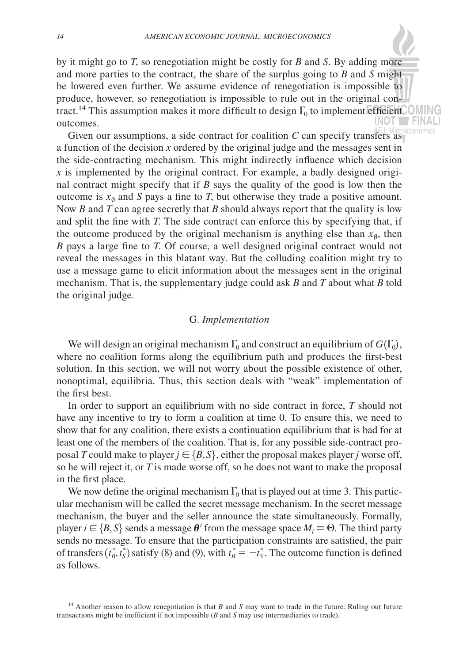by it might go to *T*, so renegotiation might be costly for *B* and *S*. By adding more and more parties to the contract, the share of the surplus going to *B* and *S* might be lowered even further. We assume evidence of renegotiation is impossible to produce, however, so renegotiation is impossible to rule out in the original contract.<sup>14</sup> This assumption makes it more difficult to design  $\Gamma_0$  to implement efficient COMING outcomes. outcomes.

Given our assumptions, a side contract for coalition *C* can specify transfers as a function of the decision *x* ordered by the original judge and the messages sent in the side-contracting mechanism. This might indirectly influence which decision *x* is implemented by the original contract. For example, a badly designed original contract might specify that if *B* says the quality of the good is low then the outcome is  $x_{\emptyset}$  and *S* pays a fine to *T*, but otherwise they trade a positive amount. Now *B* and *T* can agree secretly that *B* should always report that the quality is low and split the fine with *T*. The side contract can enforce this by specifying that, if the outcome produced by the original mechanism is anything else than  $x_{\emptyset}$ , then *B* pays a large fine to *T*. Of course, a well designed original contract would not reveal the messages in this blatant way. But the colluding coalition might try to use a message game to elicit information about the messages sent in the original mechanism. That is, the supplementary judge could ask *B* and *T* about what *B* told the original judge.

#### G. *Implementation*

We will design an original mechanism  $\Gamma_0$  and construct an equilibrium of  $G(\Gamma_0)$ , where no coalition forms along the equilibrium path and produces the first-best solution. In this section, we will not worry about the possible existence of other, nonoptimal, equilibria. Thus, this section deals with "weak" implementation of the first best.

In order to support an equilibrium with no side contract in force, *T* should not have any incentive to try to form a coalition at time 0*.* To ensure this, we need to show that for any coalition, there exists a continuation equilibrium that is bad for at least one of the members of the coalition. That is, for any possible side-contract proposal *T* could make to player  $j \in \{B, S\}$ , either the proposal makes player *j* worse off, so he will reject it, or *T* is made worse off, so he does not want to make the proposal in the first place.

We now define the original mechanism  $\Gamma_0$  that is played out at time 3. This particular mechanism will be called the secret message mechanism. In the secret message mechanism, the buyer and the seller announce the state simultaneously. Formally, player  $i \in \{B, S\}$  sends a message  $\theta^i$  from the message space  $M_i \equiv \Theta$ . The third party sends no message. To ensure that the participation constraints are satisfied, the pair of transfers  $(t_B^*, t_S^*)$  satisfy (8) and (9), with  $t_B^* = -t_S^*$ . The outcome function is defined as follows.

<sup>14</sup> Another reason to allow renegotiation is that *B* and *S* may want to trade in the future. Ruling out future transactions might be inefficient if not impossible (*B* and *S* may use intermediaries to trade).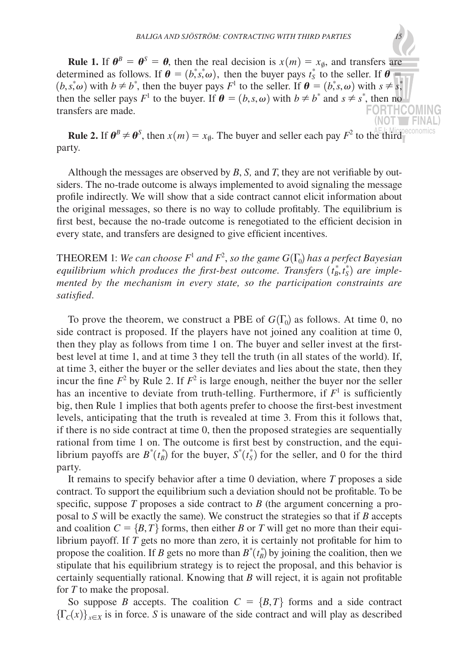**Rule** 1. If  $\theta^B = \theta^S = \theta$ , then the real decision is  $x(m) = x_{\emptyset}$ , and transfers are determined as follows. If  $\theta = (b^*, s^*, \omega)$ , then the buyer pays  $t^*_s$  to the seller. If  $\theta =$  $(b, s^* \omega)$  with  $b \neq b^*$ , then the buyer pays  $F^1$  to the seller. If  $\theta = (b^* , s, \omega)$  with  $s \neq s^*$ , then the seller pays  $F^1$  to the buyer. If  $\theta = (b, s, \omega)$  with  $b \neq b^*$  and  $s \neq s^*$ , then no transfers are made. **FORTHCOMING<br>(NOT FINAL)** 

**Rule 2.** If  $\theta^B \neq \theta^S$ , then  $x(m) = x_{\emptyset}$ . The buyer and seller each pay  $F^2$  to the third party.

Although the messages are observed by *B*, *S,* and *T*, they are not verifiable by outsiders. The no-trade outcome is always implemented to avoid signaling the message profile indirectly. We will show that a side contract cannot elicit information about the original messages, so there is no way to collude profitably. The equilibrium is first best, because the no-trade outcome is renegotiated to the efficient decision in every state, and transfers are designed to give efficient incentives.

**THEOREM** 1: We can choose  $F^1$  and  $F^2$ , so the game  $G(\Gamma_0)$  has a perfect Bayesian *equilibrium which produces the first-best outcome. Transfers*  $(t_B^*, t_S^*)$  are imple*mented by the mechanism in every state, so the participation constraints are satisfied.*

To prove the theorem, we construct a PBE of  $G(\Gamma_0)$  as follows. At time 0, no side contract is proposed. If the players have not joined any coalition at time 0, then they play as follows from time 1 on. The buyer and seller invest at the firstbest level at time 1, and at time 3 they tell the truth (in all states of the world). If, at time 3, either the buyer or the seller deviates and lies about the state, then they incur the fine  $F^2$  by Rule 2. If  $F^2$  is large enough, neither the buyer nor the seller has an incentive to deviate from truth-telling. Furthermore, if  $F<sup>1</sup>$  is sufficiently big, then Rule 1 implies that both agents prefer to choose the first-best investment levels, anticipating that the truth is revealed at time 3. From this it follows that, if there is no side contract at time 0, then the proposed strategies are sequentially rational from time 1 on. The outcome is first best by construction, and the equilibrium payoffs are  $B^*(t_B^*)$  for the buyer,  $S^*(t_S^*)$  for the seller, and 0 for the third party.

It remains to specify behavior after a time 0 deviation, where *T* proposes a side contract. To support the equilibrium such a deviation should not be profitable. To be specific, suppose *T* proposes a side contract to *B* (the argument concerning a proposal to *S* will be exactly the same). We construct the strategies so that if *B* accepts and coalition  $C = \{B, T\}$  forms, then either *B* or *T* will get no more than their equilibrium payoff. If *T* gets no more than zero, it is certainly not profitable for him to propose the coalition. If *B* gets no more than  $B^*(t_B^*)$  by joining the coalition, then we stipulate that his equilibrium strategy is to reject the proposal, and this behavior is certainly sequentially rational. Knowing that *B* will reject, it is again not profitable for *T* to make the proposal.

So suppose *B* accepts. The coalition  $C = \{B, T\}$  forms and a side contract  ${\{\Gamma_c(x)\}}_{x \in X}$  is in force. *S* is unaware of the side contract and will play as described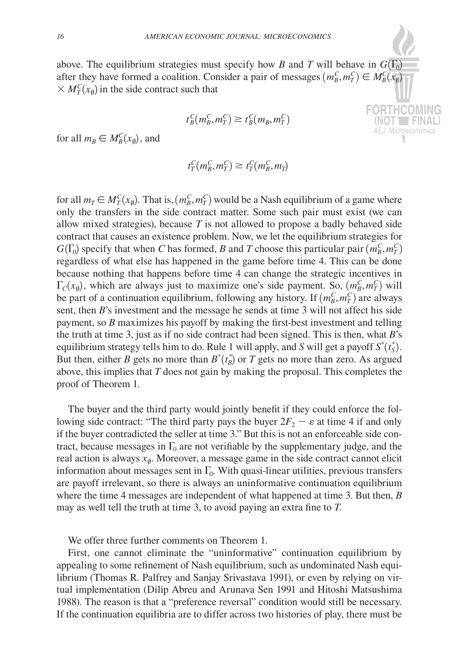above. The equilibrium strategies must specify how *B* and *T* will behave in  $G(\Gamma_0)$ after they have formed a coalition. Consider a pair of messages  $(m_B^C, m_T^C) \in M_B^C(\overline{x_{\emptyset}})$  $\times$  *M*<sup>*C*</sup>( $x_{\emptyset}$ ) in the side contract such that

$$
t_B^C(m_B^C, m_T^C) \geq t_B^C(m_B, m_T^C)
$$

**FORTHCOMING**<br>(NOT FINAL) AEJ: Microeconomics

for all  $m_B \in M_B^C(x_\emptyset)$ , and

$$
t_T^C(m_B^C, m_T^C) \geq t_T^C(m_B^C, m_T)
$$

for all  $m_T \in M_T^C(x_\emptyset)$ . That is,  $(m_B^C, m_T^C)$  would be a Nash equilibrium of a game where only the transfers in the side contract matter. Some such pair must exist (we can allow mixed strategies), because  $T$  is not allowed to propose a badly behaved side contract that causes an existence problem. Now, we let the equilibrium strategies for  $G(\Gamma_0)$  specify that when *C* has formed, *B* and *T* choose this particular pair  $(m_B^C, m_T^C)$ regardless of what else has happened in the game before time 4. This can be done because nothing that happens before time 4 can change the strategic incentives in  $\Gamma_c(x_\emptyset)$ , which are always just to maximize one's side payment. So,  $(m_B^C, m_T^C)$  will be part of a continuation equilibrium, following any history. If  $(m_B^C, m_T^C)$  are always sent, then *B*'s investment and the message he sends at time 3 will not affect his side payment, so *B* maximizes his payoff by making the first-best investment and telling the truth at time 3, just as if no side contract had been signed. This is then, what *B*'s equilibrium strategy tells him to do. Rule 1 will apply, and *S* will get a payoff  $S^*(t<sub>S</sub><sup>*</sup>)$ . But then, either *B* gets no more than  $B^*(t_B^*)$  or *T* gets no more than zero. As argued above, this implies that *T* does not gain by making the proposal. This completes the proof of Theorem 1.

The buyer and the third party would jointly benefit if they could enforce the following side contract: "The third party pays the buyer  $2F_2 - \varepsilon$  at time 4 if and only if the buyer contradicted the seller at time 3." But this is not an enforceable side contract, because messages in  $\Gamma_0$  are not verifiable by the supplementary judge, and the real action is always  $x_{\emptyset}$ . Moreover, a message game in the side contract cannot elicit information about messages sent in  $\Gamma_0$ . With quasi-linear utilities, previous transfers are payoff irrelevant, so there is always an uninformative continuation equilibrium where the time 4 messages are independent of what happened at time 3. But then, *B* may as well tell the truth at time 3, to avoid paying an extra fine to *T*.

We offer three further comments on Theorem 1.

First, one cannot eliminate the "uninformative" continuation equilibrium by appealing to some refinement of Nash equilibrium, such as undominated Nash equilibrium (Thomas R. Palfrey and Sanjay Srivastava 1991), or even by relying on virtual implementation (Dilip Abreu and Arunava Sen 1991 and Hitoshi Matsushima 1988). The reason is that a "preference reversal" condition would still be necessary. If the continuation equilibria are to differ across two histories of play, there must be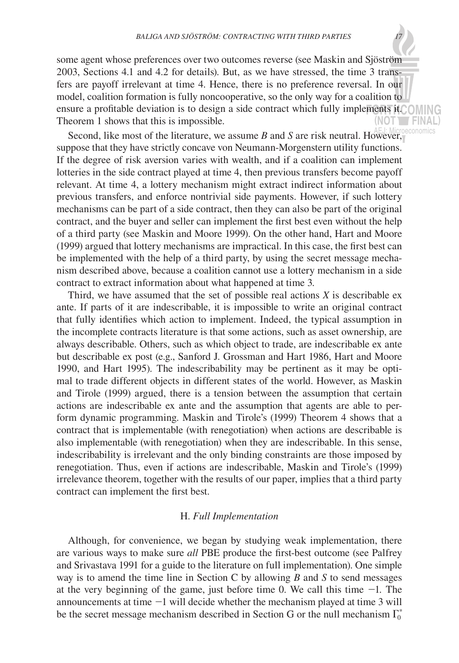some agent whose preferences over two outcomes reverse (see Maskin and Sjöström 2003, Sections 4.1 and 4.2 for details). But, as we have stressed, the time 3 transfers are payoff irrelevant at time 4. Hence, there is no preference reversal. In our model, coalition formation is fully noncooperative, so the only way for a coalition to ensure a profitable deviation is to design a side contract which fully implements **it.** COMING Theorem 1 shows that this is impossible. (NOT **FINAL**) Theorem 1 shows that this is impossible.

Second, like most of the literature, we assume *B* and *S* are risk neutral. However, suppose that they have strictly concave von Neumann-Morgenstern utility functions. If the degree of risk aversion varies with wealth, and if a coalition can implement lotteries in the side contract played at time 4, then previous transfers become payoff relevant. At time 4, a lottery mechanism might extract indirect information about previous transfers, and enforce nontrivial side payments. However, if such lottery mechanisms can be part of a side contract, then they can also be part of the original contract, and the buyer and seller can implement the first best even without the help of a third party (see Maskin and Moore 1999). On the other hand, Hart and Moore (1999) argued that lottery mechanisms are impractical. In this case, the first best can be implemented with the help of a third party, by using the secret message mechanism described above, because a coalition cannot use a lottery mechanism in a side contract to extract information about what happened at time 3*.*

Third, we have assumed that the set of possible real actions  $X$  is describable  $ex$ ante. If parts of it are indescribable, it is impossible to write an original contract that fully identifies which action to implement. Indeed, the typical assumption in the incomplete contracts literature is that some actions, such as asset ownership, are always describable. Others, such as which object to trade, are indescribable ex ante but describable ex post (e.g., Sanford J. Grossman and Hart 1986, Hart and Moore 1990, and Hart 1995). The indescribability may be pertinent as it may be optimal to trade different objects in different states of the world. However, as Maskin and Tirole (1999) argued, there is a tension between the assumption that certain actions are indescribable ex ante and the assumption that agents are able to perform dynamic programming. Maskin and Tirole's (1999) Theorem 4 shows that a contract that is implementable (with renegotiation) when actions are describable is also implementable (with renegotiation) when they are indescribable. In this sense, indescribability is irrelevant and the only binding constraints are those imposed by renegotiation. Thus, even if actions are indescribable, Maskin and Tirole's (1999) irrelevance theorem, together with the results of our paper, implies that a third party contract can implement the first best.

#### H. *Full Implementation*

Although, for convenience, we began by studying weak implementation, there are various ways to make sure *all* PBE produce the first-best outcome (see Palfrey and Srivastava 1991 for a guide to the literature on full implementation). One simple way is to amend the time line in Section C by allowing *B* and *S* to send messages at the very beginning of the game, just before time 0. We call this time  $-1$ . The announcements at time  $-1$  will decide whether the mechanism played at time 3 will be the secret message mechanism described in Section G or the null mechanism  $\Gamma_0^*$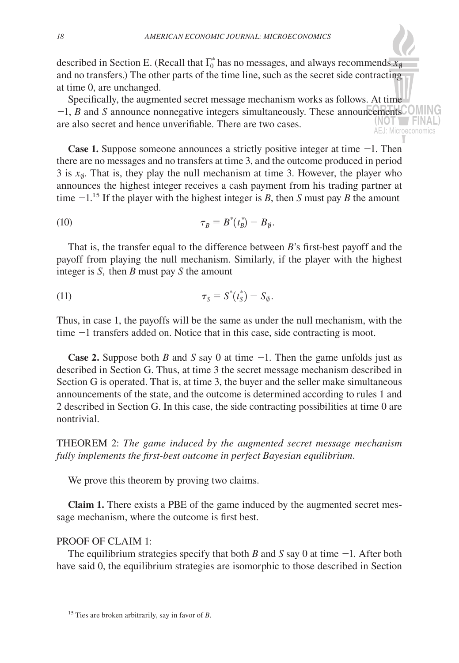described in Section E. (Recall that  $\Gamma_0^*$  has no messages, and always recommends  $x_{\emptyset}$ and no transfers.) The other parts of the time line, such as the secret side contracting at time 0, are unchanged.

Specifically, the augmented secret message mechanism works as follows. At time  $-1$ , *B* and *S* announce nonnegative integers simultaneously. These announcements COMING are also secret and hence unverifiable. There are two cases are also secret and hence unverifiable. There are two cases. AEJ: Microeconomics

**Case 1.** Suppose someone announces a strictly positive integer at time  $-1$ . Then there are no messages and no transfers at time 3, and the outcome produced in period  $3$  is  $x_{\emptyset}$ . That is, they play the null mechanism at time 3. However, the player who announces the highest integer receives a cash payment from his trading partner at time  $-1$ <sup>15</sup> If the player with the highest integer is *B*, then *S* must pay *B* the amount

(10) 
$$
\tau_B = B^*(t_B^*) - B_{\emptyset}.
$$

That is, the transfer equal to the difference between *B*'s first-best payoff and the payoff from playing the null mechanism. Similarly, if the player with the highest integer is *S*, then *B* must pay *S* the amount

$$
\tau_S = S^*(t_S^*) - S_\emptyset.
$$

Thus, in case 1, the payoffs will be the same as under the null mechanism, with the time  $-1$  transfers added on. Notice that in this case, side contracting is moot.

**Case 2.** Suppose both *B* and *S* say 0 at time  $-1$ . Then the game unfolds just as described in Section G. Thus, at time 3 the secret message mechanism described in Section G is operated. That is, at time 3, the buyer and the seller make simultaneous announcements of the state, and the outcome is determined according to rules 1 and 2 described in Section G. In this case, the side contracting possibilities at time 0 are nontrivial.

THEOREM 2: *The game induced by the augmented secret message mechanism fully implements the first-best outcome in perfect Bayesian equilibrium.*

We prove this theorem by proving two claims.

**Claim 1.** There exists a PBE of the game induced by the augmented secret message mechanism, where the outcome is first best.

# PROOF OF CLAIM 1:

The equilibrium strategies specify that both *B* and *S* say 0 at time  $-1$ *.* After both have said 0, the equilibrium strategies are isomorphic to those described in Section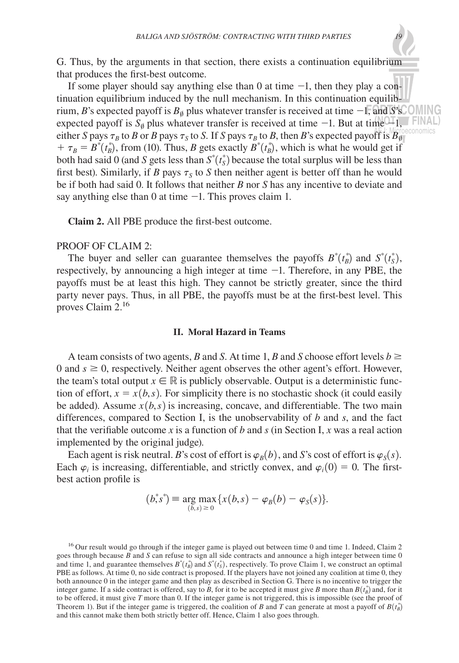G. Thus, by the arguments in that section, there exists a continuation equilibrium that produces the first-best outcome.

If some player should say anything else than 0 at time  $-1$ , then they play a continuation equilibrium induced by the null mechanism. In this continuation equilibrium, *B*'s expected payoff is  $B_{\emptyset}$  plus whatever transfer is received at time  $-1$ , and *S*'s OMING rium, *B*'s expected payoff is  $B_{\emptyset}$  plus whatever transfer is received at time  $-1$ , and *S*'s OMING expected payoff is  $S_{\emptyset}$  plus whatever transfer is received at time  $-1$ . But at time  $\Pi_{1}$ , **FINAL** either *S* pays  $\tau_B$  to *B* or *B* pays  $\tau_S$  to *S*. If *S* pays  $\tau_B$  to *B*, then *B*'s expected payoff is  $B_{\emptyset}^{\text{reconomimes}}$  $+ \tau_B = B^*(t_B^*)$ , from (10). Thus, *B* gets exactly  $B^*(t_B^*)$ , which is what he would get if both had said 0 (and *S* gets less than  $S^*(t_s^*)$  because the total surplus will be less than first best). Similarly, if *B* pays  $\tau_s$  to *S* then neither agent is better off than he would be if both had said 0. It follows that neither *B* nor *S* has any incentive to deviate and say anything else than 0 at time  $-1$ . This proves claim 1.

**Claim 2.** All PBE produce the first-best outcome.

# PROOF OF CLAIM 2:

The buyer and seller can guarantee themselves the payoffs  $B^*(t_B^*)$  and  $S^*(t_S^*)$ , respectively, by announcing a high integer at time  $-1$ . Therefore, in any PBE, the payoffs must be at least this high. They cannot be strictly greater, since the third party never pays. Thus, in all PBE, the payoffs must be at the first-best level. This proves Claim 2.16

#### **II. Moral Hazard in Teams**

A team consists of two agents, *B* and *S*. At time 1, *B* and *S* choose effort levels  $b \ge$ 0 and  $s \ge 0$ , respectively. Neither agent observes the other agent's effort. However, the team's total output  $x \in \mathbb{R}$  is publicly observable. Output is a deterministic function of effort,  $x = x(b, s)$ . For simplicity there is no stochastic shock (it could easily be added). Assume  $x(b, s)$  is increasing, concave, and differentiable. The two main differences, compared to Section I, is the unobservability of *b* and *s*, and the fact that the verifiable outcome *x* is a function of *b* and *s* (in Section I, *x* was a real action implemented by the original judge).

Each agent is risk neutral. *B*'s cost of effort is  $\varphi_B(b)$ , and *S*'s cost of effort is  $\varphi_S(s)$ . Each  $\varphi$ <sub>*i*</sub> is increasing, differentiable, and strictly convex, and  $\varphi$ <sub>*i*</sub>(0) = 0. The firstbest action profile is

$$
(b^*_s{}^*) \equiv \underset{(b,s)\geq 0}{\arg\max} \{x(b,s) - \varphi_B(b) - \varphi_S(s)\}.
$$

<sup>&</sup>lt;sup>16</sup> Our result would go through if the integer game is played out between time 0 and time 1. Indeed, Claim 2 goes through because *B* and *S* can refuse to sign all side contracts and announce a high integer between time 0 and time 1, and guarantee themselves  $B^*(t_B^*)$  and  $S^*(t_S^*)$ , respectively. To prove Claim 1, we construct an optimal PBE as follows. At time 0, no side contract is proposed. If the players have not joined any coalition at time 0, they both announce 0 in the integer game and then play as described in Section G. There is no incentive to trigger the integer game. If a side contract is offered, say to *B*, for it to be accepted it must give *B* more than  $B(t_B^*)$  and, for it to be offered, it must give *T* more than 0. If the integer game is not triggered, this is impossible (see the proof of Theorem 1). But if the integer game is triggered, the coalition of *B* and *T* can generate at most a payoff of  $B(t_B^*)$ and this cannot make them both strictly better off. Hence, Claim 1 also goes through.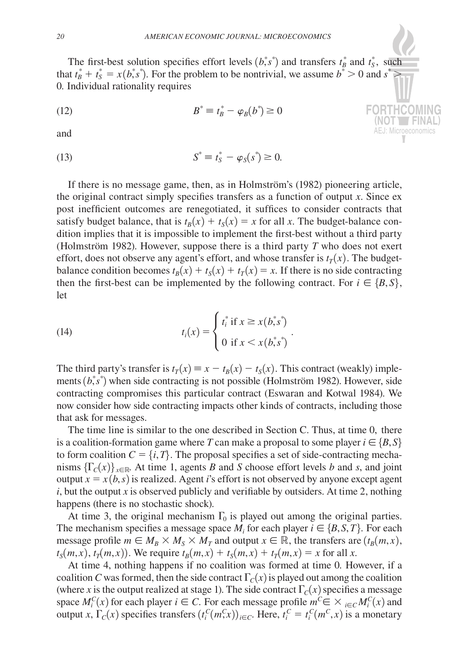The first-best solution specifies effort levels  $(b^*_s s^*)$  and transfers  $t^*_B$  and  $t^*_S$ , such that  $t_B^* + t_S^* = x(b^* \cdot s^*)$ . For the problem to be nontrivial, we assume  $b^* > 0$  and  $s^* > 0$ 0*.* Individual rationality requires

> **FORTHCOMING**<br>KNOT FINAL) AEJ: Microeconomics

$$
(12)\qquad \qquad B^* \equiv t_B^* - \varphi_B(b^*) \ge 0
$$

and

(13) 
$$
S^* = t_S^* - \varphi_S(s^*) \ge 0.
$$

If there is no message game, then, as in Holmström's (1982) pioneering article, the original contract simply specifies transfers as a function of output *x*. Since ex post inefficient outcomes are renegotiated, it suffices to consider contracts that satisfy budget balance, that is  $t_B(x) + t_S(x) = x$  for all *x*. The budget-balance condition implies that it is impossible to implement the first-best without a third party (Holmström 1982). However, suppose there is a third party *T* who does not exert effort, does not observe any agent's effort, and whose transfer is  $t_T(x)$ . The budgetbalance condition becomes  $t_B(x) + t_S(x) + t_T(x) = x$ . If there is no side contracting then the first-best can be implemented by the following contract. For  $i \in \{B, S\}$ , let

(14) 
$$
t_i(x) = \begin{cases} t_i^* \text{ if } x \geq x(b_i^*s^*) \\ 0 \text{ if } x < x(b_i^*s^*) \end{cases}.
$$

The third party's transfer is  $t_T(x) \equiv x - t_B(x) - t_S(x)$ . This contract (weakly) implements  $(b^*, s^*)$  when side contracting is not possible (Holmström 1982). However, side contracting compromises this particular contract (Eswaran and Kotwal 1984). We now consider how side contracting impacts other kinds of contracts, including those that ask for messages.

The time line is similar to the one described in Section C. Thus, at time 0, there is a coalition-formation game where *T* can make a proposal to some player  $i \in \{B, S\}$ to form coalition  $C = \{i, T\}$ . The proposal specifies a set of side-contracting mechanisms  $\{\Gamma_{C}(x)\}_{x\in\mathbb{R}}$ . At time 1, agents *B* and *S* choose effort levels *b* and *s*, and joint output  $x = x(b, s)$  is realized. Agent *i*'s effort is not observed by anyone except agent *i*, but the output *x* is observed publicly and verifiable by outsiders. At time 2, nothing happens (there is no stochastic shock).

At time 3, the original mechanism  $\Gamma_0$  is played out among the original parties. The mechanism specifies a message space  $M_i$  for each player  $i \in \{B, S, T\}$ . For each message profile  $m \in M_B \times M_S \times M_T$  and output  $x \in \mathbb{R}$ , the transfers are  $(t_B(m, x))$ ,  $t_S(m, x)$ ,  $t_T(m, x)$ ). We require  $t_B(m, x) + t_S(m, x) + t_T(m, x) = x$  for all *x*.

At time 4, nothing happens if no coalition was formed at time 0*.* However, if a coalition *C* was formed, then the side contract  $\Gamma_c(x)$  is played out among the coalition (where *x* is the output realized at stage 1). The side contract  $\Gamma_c(x)$  specifies a message space  $M_i^C(x)$  for each player  $i \in C$ . For each message profile  $m^C \in \times_{i \in C} M_i^C(x)$  and output *x*,  $\Gamma_c(x)$  specifies transfers  $(t_i^C(m, x))_{i \in C}$ . Here,  $t_i^C = t_i^C(m, x)$  is a monetary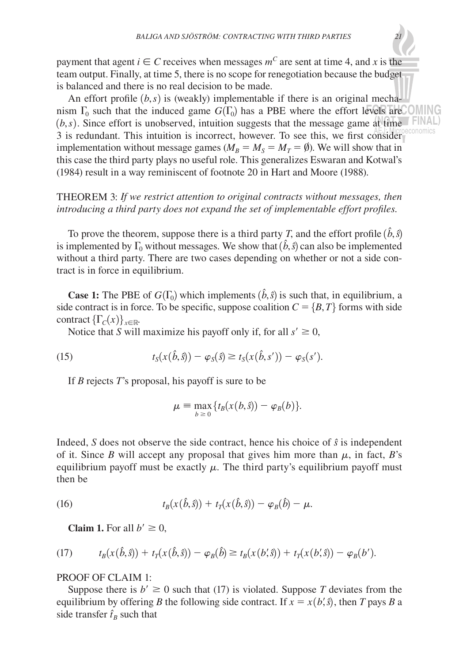payment that agent  $i \in C$  receives when messages  $m^C$  are sent at time 4, and *x* is the team output. Finally, at time 5, there is no scope for renegotiation because the budget is balanced and there is no real decision to be made.

An effort profile  $(b, s)$  is (weakly) implementable if there is an original mechanism  $\Gamma_0$  such that the induced game  $G(\Gamma_0)$  has a PBE where the effort levels are OMING (*b, s*). Since effort is unobserved, intuition suggests that the message game at time  $(b, s)$ . Since effort is unobserved, intuition suggests that the message game at time  $\Box$ FINAL  $\overline{3}$  is redundant. This intuition is incorrect, however. To see this, we first consider implementation without message games ( $M_B = M_S = M_T = \emptyset$ ). We will show that in this case the third party plays no useful role. This generalizes Eswaran and Kotwal's (1984) result in a way reminiscent of footnote 20 in Hart and Moore (1988).

THEOREM 3: *If we restrict attention to original contracts without messages, then introducing a third party does not expand the set of implementable effort profiles.*

To prove the theorem, suppose there is a third party *T*, and the effort profile  $(\hat{b}, \hat{s})$ is implemented by  $\Gamma_0$  without messages. We show that  $(\hat{b}, \hat{s})$  can also be implemented without a third party. There are two cases depending on whether or not a side contract is in force in equilibrium.

**Case 1:** The PBE of  $G(\Gamma_0)$  which implements  $(\hat{b}, \hat{s})$  is such that, in equilibrium, a side contract is in force. To be specific, suppose coalition  $C = \{B, T\}$  forms with side contract  $\{\Gamma_{C}(x)\}\mathcal{F}_{x\in\mathbb{R}}$ .

Notice that *S* will maximize his payoff only if, for all  $s' \ge 0$ ,

(15) 
$$
t_{S}(x(\hat{b},\hat{s})) - \varphi_{S}(\hat{s}) \geq t_{S}(x(\hat{b},s')) - \varphi_{S}(s').
$$

If *B* rejects *T*'s proposal, his payoff is sure to be

$$
\mu \equiv \max_{b \geq 0} \{ t_B(x(b, \hat{s})) - \varphi_B(b) \}.
$$

Indeed, *S* does not observe the side contract, hence his choice of  $\hat{s}$  is independent of it. Since *B* will accept any proposal that gives him more than  $\mu$ , in fact, *B*'s equilibrium payoff must be exactly  $\mu$ . The third party's equilibrium payoff must then be

(16) 
$$
t_B(x(\hat{b},\hat{s})) + t_T(x(\hat{b},\hat{s})) - \varphi_B(\hat{b}) - \mu.
$$

**Claim 1.** For all  $b' \geq 0$ ,

(17) 
$$
t_B(x(\hat{b},\hat{s})) + t_T(x(\hat{b},\hat{s})) - \varphi_B(\hat{b}) \ge t_B(x(b',\hat{s})) + t_T(x(b',\hat{s})) - \varphi_B(b').
$$

## PROOF OF CLAIM 1:

Suppose there is  $b' \ge 0$  such that (17) is violated. Suppose *T* deviates from the equilibrium by offering *B* the following side contract. If  $x = x(b,\hat{s})$ , then *T* pays *B* a side transfer  $\hat{t}_B$  such that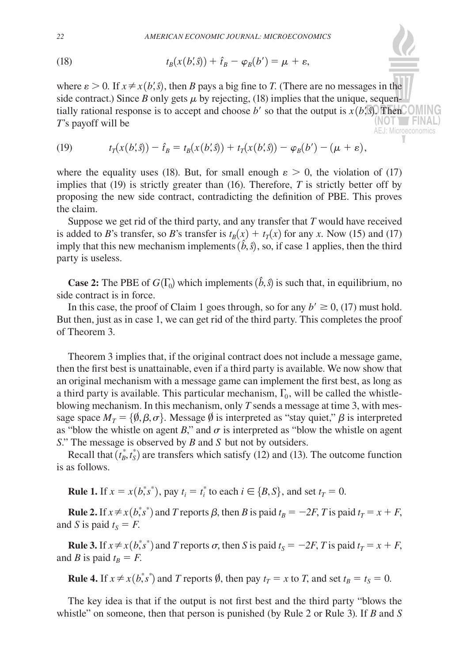(18) 
$$
t_B(x(b,\hat{s})) + \hat{t}_B - \varphi_B(b') = \mu + \varepsilon,
$$

where  $\varepsilon > 0$ . If  $x \neq x(b,\hat{s})$ , then *B* pays a big fine to *T*. (There are no messages in the side contract.) Since *B* only gets  $\mu$  by rejecting, (18) implies that the unique, sequentially rational response is to accept and choose *b'* so that the output is  $x(b,\hat{s})$ . Then COMING *T*'s payoff will be *T*'s payoff will be AEJ: Microeconomics

(19) 
$$
t_T(x(b',\hat{s})) - \hat{t}_B = t_B(x(b',\hat{s})) + t_T(x(b',\hat{s})) - \varphi_B(b') - (\mu + \varepsilon),
$$

where the equality uses (18). But, for small enough  $\varepsilon > 0$ , the violation of (17) implies that (19) is strictly greater than (16). Therefore, *T* is strictly better off by proposing the new side contract, contradicting the definition of PBE. This proves the claim.

Suppose we get rid of the third party, and any transfer that *T* would have received is added to *B*'s transfer, so *B*'s transfer is  $t_B(x) + t_T(x)$  for any *x*. Now (15) and (17) imply that this new mechanism implements  $(\hat{b}, \hat{s})$ , so, if case 1 applies, then the third party is useless.

**Case 2:** The PBE of  $G(\Gamma_0)$  which implements  $(\hat{b}, \hat{s})$  is such that, in equilibrium, no side contract is in force.

In this case, the proof of Claim 1 goes through, so for any  $b' \ge 0$ , (17) must hold. But then, just as in case 1, we can get rid of the third party. This completes the proof of Theorem 3.

Theorem 3 implies that, if the original contract does not include a message game, then the first best is unattainable, even if a third party is available. We now show that an original mechanism with a message game can implement the first best, as long as a third party is available. This particular mechanism,  $\Gamma_0$ , will be called the whistleblowing mechanism. In this mechanism, only *T* sends a message at time 3, with message space  $M_T = {\emptyset, \beta, \sigma}$ . Message  $\emptyset$  is interpreted as "stay quiet,"  $\beta$  is interpreted as "blow the whistle on agent *B*," and  $\sigma$  is interpreted as "blow the whistle on agent *S*." The message is observed by *B* and *S* but not by outsiders.

Recall that  $(t_B^*, t_S^*)$  are transfers which satisfy (12) and (13). The outcome function is as follows.

**Rule** 1. If  $x = x(b^* , s^*)$ , pay  $t_i = t_i^*$  to each  $i \in \{B, S\}$ , and set  $t_T = 0$ .

**Rule 2.** If  $x \neq x(b, s^*)$  and *T* reports  $\beta$ , then *B* is paid  $t_B = -2F$ , *T* is paid  $t_T = x + F$ , and *S* is paid  $t_s = F$ .

**Rule 3.** If  $x \neq x(b, s^*)$  and *T* reports  $\sigma$ , then *S* is paid  $t_S = -2F$ , *T* is paid  $t_T = x + F$ , and *B* is paid  $t_B = F$ .

**Rule 4.** If  $x \neq x(b, s^*)$  and *T* reports  $\emptyset$ , then pay  $t_T = x$  to *T*, and set  $t_B = t_S = 0$ .

The key idea is that if the output is not first best and the third party "blows the whistle" on someone, then that person is punished (by Rule 2 or Rule 3). If *B* and *S*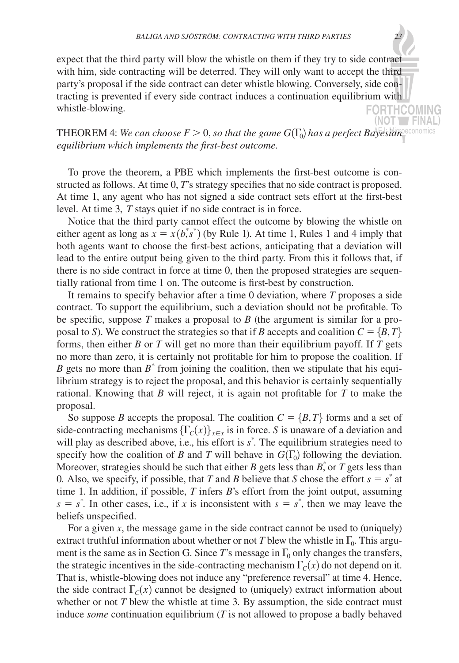expect that the third party will blow the whistle on them if they try to side contract with him, side contracting will be deterred. They will only want to accept the third party's proposal if the side contract can deter whistle blowing. Conversely, side contracting is prevented if every side contract induces a continuation equilibrium with whistle-blowing. **FORTHCOMING<br>(NOT FINAL)** 

# ${\rm THEOREM}$  4: *We can choose*  $F$  $>$  $0,$  *so that the game*  $G(\Gamma_{\!0})$  *has a perfect Bayesian*  $^{\circ}$  *conomics equilibrium which implements the first-best outcome.*

To prove the theorem, a PBE which implements the first-best outcome is constructed as follows. At time 0, *T*'s strategy specifies that no side contract is proposed. At time 1, any agent who has not signed a side contract sets effort at the first-best level. At time 3, *T* stays quiet if no side contract is in force.

Notice that the third party cannot effect the outcome by blowing the whistle on either agent as long as  $x = x(b^*, s^*)$  (by Rule 1). At time 1, Rules 1 and 4 imply that both agents want to choose the first-best actions, anticipating that a deviation will lead to the entire output being given to the third party. From this it follows that, if there is no side contract in force at time 0, then the proposed strategies are sequentially rational from time 1 on. The outcome is first-best by construction.

It remains to specify behavior after a time 0 deviation, where *T* proposes a side contract. To support the equilibrium, such a deviation should not be profitable. To be specific, suppose *T* makes a proposal to *B* (the argument is similar for a proposal to *S*). We construct the strategies so that if *B* accepts and coalition  $C = \{B, T\}$ forms, then either *B* or *T* will get no more than their equilibrium payoff. If *T* gets no more than zero, it is certainly not profitable for him to propose the coalition. If *B* gets no more than *B\** from joining the coalition, then we stipulate that his equilibrium strategy is to reject the proposal, and this behavior is certainly sequentially rational. Knowing that *B* will reject, it is again not profitable for *T* to make the proposal.

So suppose *B* accepts the proposal. The coalition  $C = \{B, T\}$  forms and a set of side-contracting mechanisms  $\{\Gamma_c(x)\}_{x \in x}$  is in force. *S* is unaware of a deviation and will play as described above, i.e., his effort is  $s^*$ . The equilibrium strategies need to specify how the coalition of *B* and *T* will behave in  $G(\Gamma_0)$  following the deviation. Moreover, strategies should be such that either  $B$  gets less than  $B^*$ , or  $T$  gets less than 0. Also, we specify, if possible, that *T* and *B* believe that *S* chose the effort  $s = s^*$  at time 1. In addition, if possible, *T* infers *B*'s effort from the joint output, assuming  $s = s^*$ . In other cases, i.e., if *x* is inconsistent with  $s = s^*$ , then we may leave the beliefs unspecified.

For a given *x*, the message game in the side contract cannot be used to (uniquely) extract truthful information about whether or not *T* blew the whistle in  $\Gamma_0$ . This argument is the same as in Section G. Since  $T$ 's message in  $\Gamma_0$  only changes the transfers, the strategic incentives in the side-contracting mechanism  $\Gamma_c(x)$  do not depend on it. That is, whistle-blowing does not induce any "preference reversal" at time 4. Hence, the side contract  $\Gamma_C(x)$  cannot be designed to (uniquely) extract information about whether or not *T* blew the whistle at time 3*.* By assumption, the side contract must induce *some* continuation equilibrium (*T* is not allowed to propose a badly behaved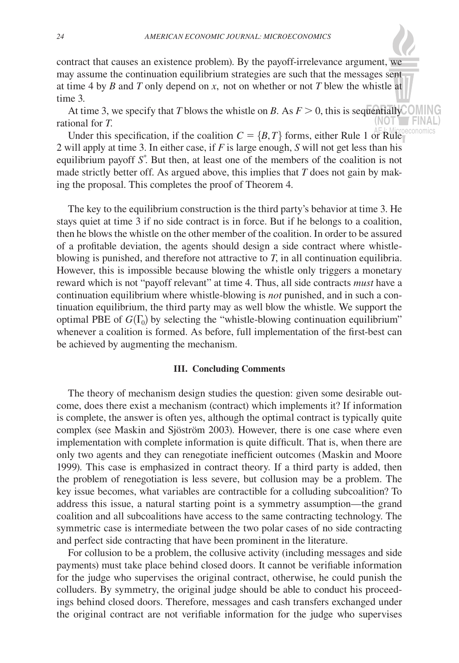contract that causes an existence problem). By the payoff-irrelevance argument, we may assume the continuation equilibrium strategies are such that the messages sent at time 4 by *B* and *T* only depend on *x*, not on whether or not *T* blew the whistle at time 3*.*

At time 3, we specify that *T* blows the whistle on *B*. As  $F > 0$ , this is sequentially COMING ional for *T*. rational for *T.*

Under this specification, if the coalition  $C = \{B,T\}$  forms, either Rule 1 or Rule  $\mathbb{R}^{\mathbb{N}}$ 2 will apply at time 3. In either case, if *F* is large enough, *S* will not get less than his equilibrium payoff *S\** . But then, at least one of the members of the coalition is not made strictly better off. As argued above, this implies that *T* does not gain by making the proposal. This completes the proof of Theorem 4.

The key to the equilibrium construction is the third party's behavior at time 3. He stays quiet at time 3 if no side contract is in force. But if he belongs to a coalition, then he blows the whistle on the other member of the coalition. In order to be assured of a profitable deviation, the agents should design a side contract where whistleblowing is punished, and therefore not attractive to *T*, in all continuation equilibria. However, this is impossible because blowing the whistle only triggers a monetary reward which is not "payoff relevant" at time 4. Thus, all side contracts *must* have a continuation equilibrium where whistle-blowing is *not* punished, and in such a continuation equilibrium, the third party may as well blow the whistle. We support the optimal PBE of  $G(\Gamma_0)$  by selecting the "whistle-blowing continuation equilibrium" whenever a coalition is formed. As before, full implementation of the first-best can be achieved by augmenting the mechanism.

#### **III. Concluding Comments**

The theory of mechanism design studies the question: given some desirable outcome, does there exist a mechanism (contract) which implements it? If information is complete, the answer is often yes, although the optimal contract is typically quite complex (see Maskin and Sjöström 2003). However, there is one case where even implementation with complete information is quite difficult. That is, when there are only two agents and they can renegotiate inefficient outcomes (Maskin and Moore 1999). This case is emphasized in contract theory. If a third party is added, then the problem of renegotiation is less severe, but collusion may be a problem. The key issue becomes, what variables are contractible for a colluding subcoalition? To address this issue, a natural starting point is a symmetry assumption—the grand coalition and all subcoalitions have access to the same contracting technology. The symmetric case is intermediate between the two polar cases of no side contracting and perfect side contracting that have been prominent in the literature.

For collusion to be a problem, the collusive activity (including messages and side payments) must take place behind closed doors. It cannot be verifiable information for the judge who supervises the original contract, otherwise, he could punish the colluders. By symmetry, the original judge should be able to conduct his proceedings behind closed doors. Therefore, messages and cash transfers exchanged under the original contract are not verifiable information for the judge who supervises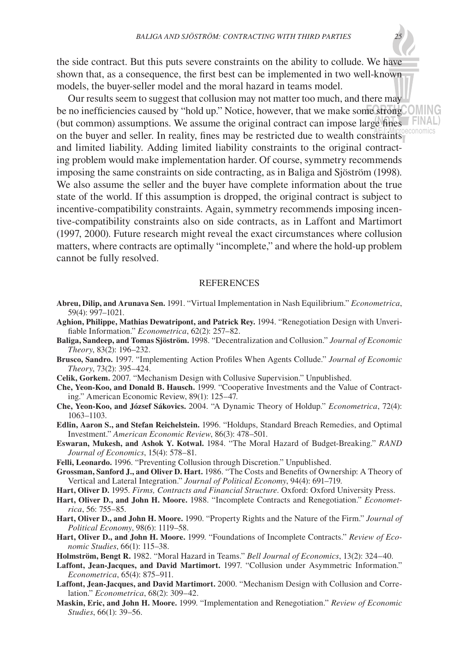the side contract. But this puts severe constraints on the ability to collude. We have shown that, as a consequence, the first best can be implemented in two well-known models, the buyer-seller model and the moral hazard in teams model.

Our results seem to suggest that collusion may not matter too much, and there may be no inefficiencies caused by "hold up." Notice, however, that we make some strong be no inefficiencies caused by "hold up." Notice, however, that we make some strong UMING (but common) assumptions. We assume the original contract can impose large fines **FINAL**) on the buyer and seller. In reality, fines may be restricted due to wealth constraints and limited liability. Adding limited liability constraints to the original contracting problem would make implementation harder. Of course, symmetry recommends imposing the same constraints on side contracting, as in Baliga and Sjöström (1998). We also assume the seller and the buyer have complete information about the true state of the world. If this assumption is dropped, the original contract is subject to incentive-compatibility constraints. Again, symmetry recommends imposing incentive-compatibility constraints also on side contracts, as in Laffont and Martimort (1997, 2000). Future research might reveal the exact circumstances where collusion matters, where contracts are optimally "incomplete," and where the hold-up problem cannot be fully resolved.

#### **REFERENCES**

- **Abreu, Dilip, and Arunava Sen.** 1991. "Virtual Implementation in Nash Equilibrium." *Econometrica*, 59(4): 997–1021.
- **Aghion, Philippe, Mathias Dewatripont, and Patrick Rey.** 1994. "Renegotiation Design with Unverifiable Information." *Econometrica*, 62(2): 257–82.
- **Baliga, Sandeep, and Tomas Sjöström.** 1998. "Decentralization and Collusion." *Journal of Economic Theory*, 83(2): 196–232.
- **Brusco, Sandro.** 1997. "Implementing Action Profiles When Agents Collude." *Journal of Economic Theory*, 73(2): 395–424.
- **Celik, Gorkem.** 2007. "Mechanism Design with Collusive Supervision." Unpublished.
- **Che, Yeon-Koo, and Donald B. Hausch.** 1999. "Cooperative Investments and the Value of Contracting." American Economic Review, 89(1): 125–47.
- **Che, Yeon-Koo, and József Sákovics.** 2004. "A Dynamic Theory of Holdup." *Econometrica*, 72(4): 1063–1103.
- **Edlin, Aaron S., and Stefan Reichelstein.** 1996. "Holdups, Standard Breach Remedies, and Optimal Investment." *American Economic Review*, 86(3): 478–501.
- **Eswaran, Mukesh, and Ashok Y. Kotwal.** 1984. "The Moral Hazard of Budget-Breaking." *RAND Journal of Economics*, 15(4): 578–81.
- **Felli, Leonardo.** 1996. "Preventing Collusion through Discretion." Unpublished.
- **Grossman, Sanford J., and Oliver D. Hart.** 1986. "The Costs and Benefits of Ownership: A Theory of Vertical and Lateral Integration." *Journal of Political Economy*, 94(4): 691–719.
- **Hart, Oliver D.** 1995. *Firms, Contracts and Financial Structure*. Oxford: Oxford University Press.
- **Hart, Oliver D., and John H. Moore.** 1988. "Incomplete Contracts and Renegotiation." *Econometrica*, 56: 755–85.
- **Hart, Oliver D., and John H. Moore.** 1990. "Property Rights and the Nature of the Firm." *Journal of Political Economy*, 98(6): 1119–58.
- **Hart, Oliver D., and John H. Moore.** 1999. "Foundations of Incomplete Contracts." *Review of Economic Studies*, 66(1): 115–38.
- **Holmström, Bengt R.** 1982. "Moral Hazard in Teams." *Bell Journal of Economics*, 13(2): 324–40.
- **Laffont, Jean-Jacques, and David Martimort.** 1997. "Collusion under Asymmetric Information." *Econometrica*, 65(4): 875–911.
- **Laffont, Jean-Jacques, and David Martimort.** 2000. "Mechanism Design with Collusion and Correlation." *Econometrica*, 68(2): 309–42.
- **Maskin, Eric, and John H. Moore.** 1999. "Implementation and Renegotiation." *Review of Economic Studies*, 66(1): 39–56.